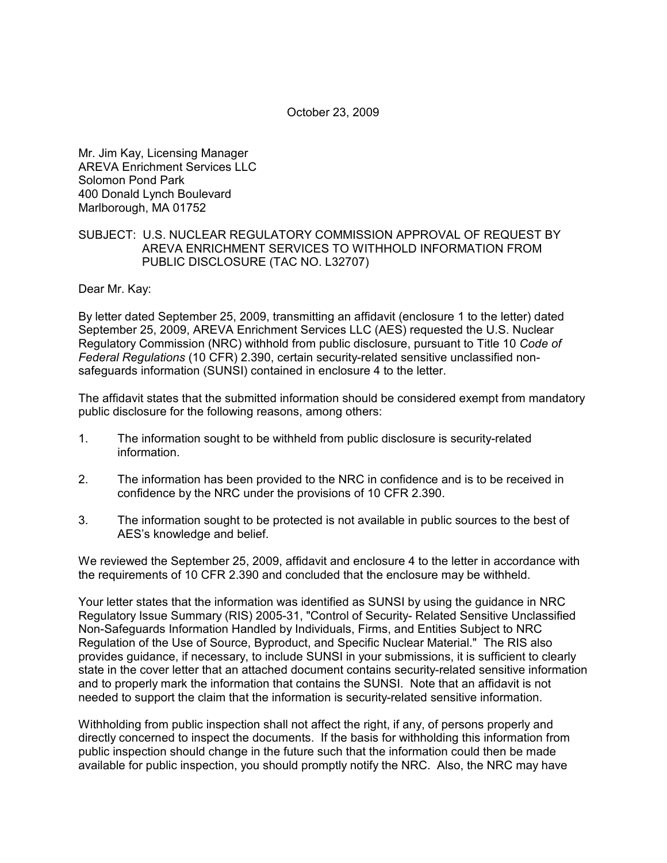October 23, 2009

Mr. Jim Kay, Licensing Manager AREVA Enrichment Services LLC Solomon Pond Park 400 Donald Lynch Boulevard Marlborough, MA 01752

## SUBJECT: U.S. NUCLEAR REGULATORY COMMISSION APPROVAL OF REQUEST BY AREVA ENRICHMENT SERVICES TO WITHHOLD INFORMATION FROM PUBLIC DISCLOSURE (TAC NO. L32707)

Dear Mr. Kay:

By letter dated September 25, 2009, transmitting an affidavit (enclosure 1 to the letter) dated September 25, 2009, AREVA Enrichment Services LLC (AES) requested the U.S. Nuclear Regulatory Commission (NRC) withhold from public disclosure, pursuant to Title 10 *Code of Federal Regulations* (10 CFR) 2.390, certain security-related sensitive unclassified nonsafeguards information (SUNSI) contained in enclosure 4 to the letter.

The affidavit states that the submitted information should be considered exempt from mandatory public disclosure for the following reasons, among others:

- 1. The information sought to be withheld from public disclosure is security-related information.
- 2. The information has been provided to the NRC in confidence and is to be received in confidence by the NRC under the provisions of 10 CFR 2.390.
- 3. The information sought to be protected is not available in public sources to the best of AES's knowledge and belief.

We reviewed the September 25, 2009, affidavit and enclosure 4 to the letter in accordance with the requirements of 10 CFR 2.390 and concluded that the enclosure may be withheld.

Your letter states that the information was identified as SUNSI by using the guidance in NRC Regulatory Issue Summary (RIS) 2005-31, "Control of Security- Related Sensitive Unclassified Non-Safeguards Information Handled by Individuals, Firms, and Entities Subject to NRC Regulation of the Use of Source, Byproduct, and Specific Nuclear Material." The RIS also provides guidance, if necessary, to include SUNSI in your submissions, it is sufficient to clearly state in the cover letter that an attached document contains security-related sensitive information and to properly mark the information that contains the SUNSI. Note that an affidavit is not needed to support the claim that the information is security-related sensitive information.

Withholding from public inspection shall not affect the right, if any, of persons properly and directly concerned to inspect the documents. If the basis for withholding this information from public inspection should change in the future such that the information could then be made available for public inspection, you should promptly notify the NRC. Also, the NRC may have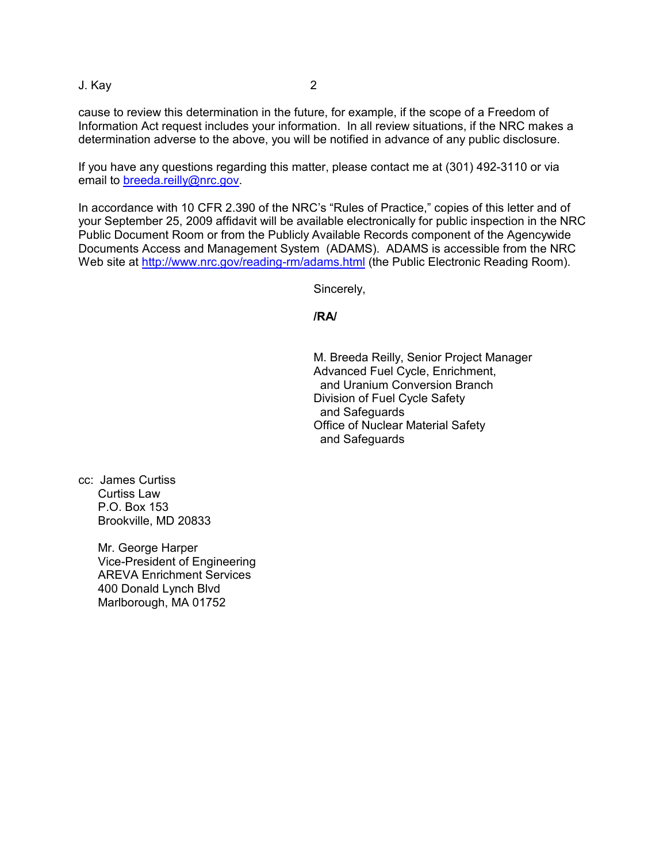J. Kay 2

cause to review this determination in the future, for example, if the scope of a Freedom of Information Act request includes your information. In all review situations, if the NRC makes a determination adverse to the above, you will be notified in advance of any public disclosure.

If you have any questions regarding this matter, please contact me at (301) 492-3110 or via email to breeda.reilly@nrc.gov.

In accordance with 10 CFR 2.390 of the NRC's "Rules of Practice," copies of this letter and of your September 25, 2009 affidavit will be available electronically for public inspection in the NRC Public Document Room or from the Publicly Available Records component of the Agencywide Documents Access and Management System (ADAMS). ADAMS is accessible from the NRC Web site at http://www.nrc.gov/reading-rm/adams.html (the Public Electronic Reading Room).

Sincerely,

**/RA/** 

M. Breeda Reilly, Senior Project Manager Advanced Fuel Cycle, Enrichment, and Uranium Conversion Branch Division of Fuel Cycle Safety and Safeguards Office of Nuclear Material Safety and Safeguards

cc: James Curtiss Curtiss Law P.O. Box 153 Brookville, MD 20833

> Mr. George Harper Vice-President of Engineering AREVA Enrichment Services 400 Donald Lynch Blvd Marlborough, MA 01752